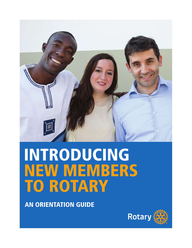

# INTRODUCING NEW MEMBERS TO ROTARY

AN ORIENTATION GUIDE

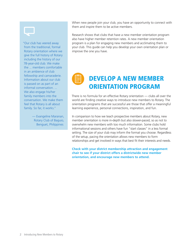

"Our club has veered away from the traditional, formal Rotary orientation where we give the full history of Rotary including the history of our 78-year-old club. We make the ... members comfortable in an ambience of club fellowship and camaraderie. Information about our club is passed on as part of an informal conversation. ... We also engage his/her family members into the conversation. We make them feel that Rotary is all about family. So far, it works."

> — [Evangeline Maranan,](https://www.rotary.org/myrotary/en/user/394811/profile) Rotary Club of Baguio, Benguet, Philippines

When new people join your club, you have an opportunity to connect with them and inspire them to be active members.

Research shows that clubs that have a new member orientation program also have higher member retention rates. A new member orientation program is a plan for engaging new members and acclimating them to your club. This guide can help you develop your own orientation plan or improve the one you have.

## DEVELOP A NEW MEMBER ORIENTATION PROGRAM

There is no formula for an effective Rotary orientation — clubs all over the world are finding creative ways to introduce new members to Rotary. The orientation programs that are successful are those that offer a meaningful learning experience, personal connections, inspiration, and fun.

In comparison to how we teach prospective members about Rotary, new member orientation is more in-depth but also slower-paced, so as not to overwhelm new members with too much information. Some clubs hold informational sessions and others have fun "start classes" in a less formal setting. The size of your club may inform the format you choose. Regardless of the setup, pacing the orientation allows new members to form relationships and get involved in ways that best fit their interests and needs.

**Check with your district membership attraction and engagement chair to see if your district offers a districtwide new member orientation, and encourage new members to attend.**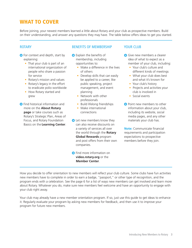### WHAT TO COVER

Before joining, your newest members learned a little about Rotary and your club as prospective members. Build on their understanding, and answer any questions they may have. The table below offers ideas to get you started.

#### ROTARY

- **O** For context and depth, start by explaining:
	- That your club is part of an international organization of people who share a passion for service
	- Rotary's mission and values
	- Rotary's legacy in the effort to eradicate polio worldwide
	- How Rotary started and grew
- **O** Find historical information and more on the **[About Rotary](http://www.rotary.org/about-rotary)  [page](http://www.rotary.org/about-rotary)** or take courses such as Rotary's Strategic Plan, Areas of Focus, and Rotary Foundation Basics on the **[Learning Center](http://learn.rotary.org)**.

#### BENEFITS OF MEMBERSHIP

- **O** Explain the benefits of membership, including opportunities to:
	- Make a difference in the lives of others
	- Develop skills that can easily be applied to a career, like public speaking, project management, and event planning
	- Network with other professionals
	- Build lifelong friendships
	- Make international connections
- **C** Let new members know they can also receive discounts on a variety of services all over the world through the **[Rotary](https://www.rotary.org/myrotary/en/member-center/rotary-global-rewards)  [Global Rewards](https://www.rotary.org/myrotary/en/member-center/rotary-global-rewards)** program and post offers from their own companies.
- **O** Find more information on **[video.rotary.org](http://video.rotary.org/set_language/?language_code=en&redirect_to=/)** or the **[Member Center](http://www.rotary.org/member-center)**.

#### YOUR CLUB

- Give new members a clearer idea of what to expect as a member of your club, including:
	- Your club's culture and different kinds of meetings
	- What your club does best and what it's known for
	- Your club's history
	- Projects and activities your club is involved in
	- Social events
- **O** Point new members to other information about your club, including its website, social media pages, and any other materials your club has.

**Note:** Communicate financial requirements and participation expectations to prospective members before they join.

How you decide to offer orientation to new members will reflect your club culture. Some clubs have fun activities new members have to complete in order to earn a badge, "passport," or other type of recognition, and the program ends with a celebration. See the page 6 for a list of ways new members can get involved and learn more about Rotary. Whatever you do, make sure new members feel welcome and have an opportunity to engage with your club right away.

Your club may already have a new member orientation program. If so, just use this guide to get ideas to enhance it. Regularly evaluate your program by asking new members for feedback, and then use it to improve your program for future new members.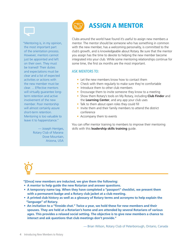

"Mentoring is, in my opinion, the most important part of the orientation process. However, mentors cannot just be appointed and left on their own. They must be trained! Their duties and expectations must be clear and a list of expected activities or actions with the new member must be clear. ... Effective mentors will virtually guarantee longterm retention and active involvement of the new member. Poor mentorship will almost certainly assure short-term retention. Mentoring is too valuable to leave it to happenstance."

> — Joseph Hentges, Rotary Club of Marana Dove Mountain, Arizona, USA



## ASSIGN A MENTOR

Clubs around the world have found it's useful to assign new members a mentor. The mentor should be someone who has something in common with the new member, has a welcoming personality, is committed to the club's growth, and is knowledgeable about Rotary. Be sure that the mentor you assign has the time to devote to helping the new member become integrated into your club. While some mentoring relationships continue for some time, the first six months are the most important.

#### ASK MENTORS TO:

- Let the new members know how to contact them
- Check with them regularly to make sure they're comfortable
- Introduce them to other club members
- Encourage them to invite someone they know to a meeting
- Show them Rotary's tools on My Rotary, including **[Club Finder](https://www.rotary.org/myrotary/en/search/club-finder)** and the **[Learning Center](http://learn.rotary.org)**, and any app your club uses
- Talk to them about open roles they could fill
- Invite them and their family members to attend the district conference
- Accompany them to events

You can offer mentor training to members to improve their mentoring skills with this **[leadership skills training](https://www.rotary.org/myrotary/en/document/567)** guide.



**"[Once] new members are inducted, we give them the following:**

- **A mentor to help guide the new Rotarian and answer questions.**
- **A temporary name tag. When they have completed a "passport" checklist, we present them with a permanent badge and a Rotary club jacket at a club meeting.**
- **A printed club history as well as a glossary of Rotary terms and acronyms to help explain the "language" of Rotary.**
- **An invitation to a "fireside chat." Twice a year, we hold these for new members and their spouses. They are held at a Rotarian's home and are attended by several Rotarians of various ages. This provides a relaxed social setting. The objective is to give new members a chance to interact and ask questions that club meetings don't provide."**

— Brian Wilson, Rotary Club of Peterborough, Ontario, Canada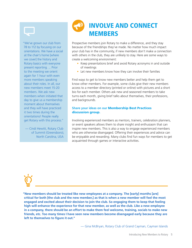

"We've grown our club from 78 to 112 by focusing on our orientations. We have a social at the chair's home [where we cover] the history and Rotary basics with everyone present reporting. ... Prior to the meeting we orient again for 1 hour with even more members speaking about their roles. In all, our new members meet 15-20 members. We ask new members when initiated that day to give us a membership moment about themselves and they will have practiced it two times during the orientations! People really get Rotary with this process."

— Cindi Hewitt, Rotary Club of Summit (Greensboro), North Carolina, USA



Prospective members join Rotary to make a difference, and they stay because of the friendships they've made. No matter how much impact your club has in the community, if new members don't make a connection with others in the club, they are unlikely to stay. Here are some ways to create a welcoming environment:

- Keep presentations brief and avoid Rotary acronyms in and outside of meetings
- Let new members know how they can involve their families

Find ways to get to know new members better and help them get to know other members. For example, some clubs give their new members access to a member directory (printed or online) with pictures and a short bio for each member. Others ask new and seasoned members to take turns each month, giving brief talks about themselves, their professions. and backgrounds.

#### **Share your ideas on our** [Membership Best Practices](https://www.rotary.org/myrotary/en/exchange-ideas/groups/membership-best-practices)  [discussion group](https://www.rotary.org/myrotary/en/exchange-ideas/groups/membership-best-practices)**.**

Involving experienced members as mentors, trainers, celebration planners, or event speakers allows them to share insight and enthusiasm that can inspire new members. This is also a way to engage experienced members who are otherwise disengaged. Offering their experiences and advice can be enjoyable and rewarding. Many clubs find fun ways for members to get acquainted through games or interactive activities.

**"New members should be treated like new employees at a company. The [early] months [are] critical for both [the club and the new member,] as that is when a new member will feel the most engaged and excited about their decision to join the club. So engaging them to keep that feeling high will enhance the experience for that new member, as well as the club. Like a new employee in a company, there should be an effort to make them feel welcome, training, socials to make new friends, etc. Too many times I have seen new members become disengaged early because they are left to themselves to figure it out."** 

— Gina McBryan, Rotary Club of Grand Cayman, Cayman Islands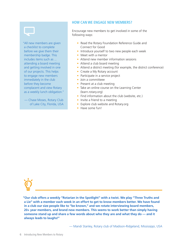

"All new members are given a checklist to complete before we give them their membership badge. This includes items such as ... attending a board meeting and getting involved in one of our projects. This helps to engage new members immediately in the club before they become complacent and view Rotary as a weekly lunch obligation."

— [Chase Moses,](https://www.rotary.org/myrotary/en/user/1163801/profile) Rotary Club of Lake City, Florida, USA

#### HOW CAN WE ENGAGE NEW MEMBERS?

Encourage new members to get involved in some of the following ways:

- Read the Rotary Foundation Reference Guide and Connect for Good
- Introduce yourself to two new people each week
- Meet with a mentor
- Attend new member information sessions
- Attend a club board meeting
- Attend a district meeting (for example, the district conference)
- Create a My Rotary account
- Participate in a service project
- Join a committeee
- Present at a club meeting
- Take an online course on the Learning Center (learn.rotary.org)
- Find information about the club (website, etc.)
- Invite a friend to a meeting
- Explore club website and Rotary.org
- Have some fun!

**"Our club offers a weekly "Rotarian in the Spotlight" with a twist. We play "Three Truths and a Lie" with a member each week in an effort to get to know members better. We have found in a club our size people like to "be known," and we rotate interviewing board members, 20+ year members, and brand new members. This seems to work better than simply having someone stand up and share a few words about who they are and what they do — and it always leads to laughs!"** 

— Mandi Stanley, Rotary club of Madison-Ridgeland, Mississippi, USA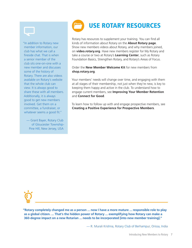

"In addition to Rotary new member information, our club has what we call a fireside chat. That is when a senior member of the club sits one-on-one with a new member and discusses some of the history of Rotary. There are also videos available on Rotary's website that the whole club can view. It is always good to share these with all members. Additionally, it is always good to get new members involved. Get them on a committee, a fundraiser, or whatever seems a good fit."

— Grant Bayer, Rotary Club of Gloucester Township-Pine Hill, New Jersey, USA



Rotary has resources to supplement your training. You can find all kinds of information about Rotary on the **[About Rotary page](http://www.rotary.org/about-rotary)**. Show new members videos about Rotary, and why members joined, on **[video.rotary.org](http://video.rotary.org/set_language/?language_code=en&redirect_to=/)**. Have new members register for My Rotary and take a course or two at Rotary's **[Learning Center](http://learn.rotary.org)**, such as Rotary Foundation Basics, Strengthen Rotary, and Rotary's Areas of Focus.

Order the **[New Member Welcome Kit](http://shop.rotary.org/New-Member-Welcome-Kit/dp/B0042AERJY)** for new members from **[shop.rotary.org](http://shop.rotary.org)**.

Your members' needs will change over time, and engaging with them at all stages of their membership, not just when they're new, is key to keeping them happy and active in the club. To understand how to engage current members, see **[Improving Your Member Retention](https://www.rotary.org/myrotary/en/document/improving-your-member-retention-retention-assessment-and-analysis)**  and **[Connect for Good](https://www.rotary.org/myrotary/en/document/connect-good)**.

To learn how to follow up with and engage prospective members, see **[Creating a Positive Experience for Prospective Members](http://www.rotary.org/membership)**.

**"Rotary completely changed me as a person ... now I have a more mature ... responsible role to play as a global citizen. ... That's the hidden power of Rotary ... exemplifying how Rotary can make a 360-degree impact on a new Rotarian ... needs to be incorporated [into new member training]."**

— R. Murali Krishna, Rotary Club of Berhampur, Orissa, India